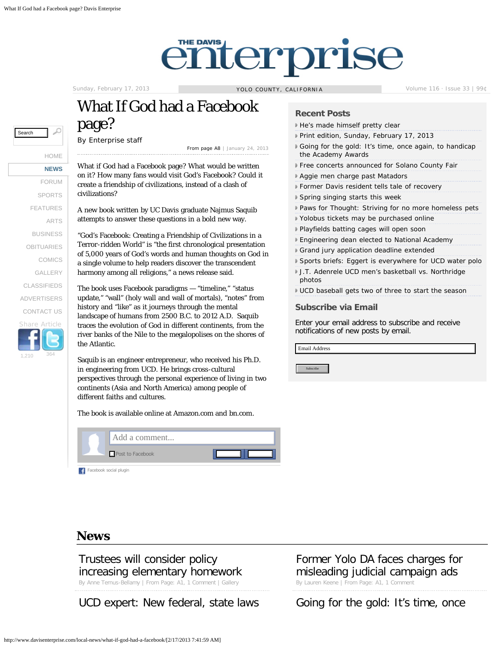[HOME](http://www.davisenterprise.com/) **[NEWS](http://www.davisenterprise.com/?rm=3#cat_local-news)** [FORUM](http://www.davisenterprise.com/?rm=59#cat_forum) **[SPORTS](http://www.davisenterprise.com/?rm=16#cat_sports)** [FEATURES](http://www.davisenterprise.com/?rm=58#cat_features) [ARTS](http://www.davisenterprise.com/?rm=38#cat_arts) [BUSINESS](http://www.davisenterprise.com/?rm=46#cat_business) [OBITUARIES](http://www.davisenterprise.com/?rm=53#cat_obits) [COMICS](http://www.davisenterprise.com/?rm=81344#cat_comics) [GALLERY](http://www.davisenterprise.com/photos) [CLASSIFIEDS](http://www.davisenterprise.com/classifieds) [ADVERTISERS](http://www.davisenterprise.com/advertisers) [CONTACT US](http://www.davisenterprise.com/#bottom)

1,210 364

[Share](http://www.facebook.com/share.php?u=http://www.davisenterprise.com/local-news/what-if-god-had-a-facebook?name=what-if-god-had-a-facebook&category_name=local-news) [Article](http://www.davisenterprise.com/local-news/what-if-god-had-a-facebook/?share=twitter)

# enterprise

Sunday, February 17, 2013 **YOLO COUNTY, CALIFORNIA** Volume 116 · Issue 33 | 99¢

# What If God had a Facebook page?

By [Enterprise staff](http://www.davisenterprise.com/author/enterprise-staff/)

[From page A8](http://www.davisenterprise.com/print?edition=2013-01-24&ptitle=A8) | January 24, 2013

What if God had a Facebook page? What would be written on it? How many fans would visit God's Facebook? Could it create a friendship of civilizations, instead of a clash of civilizations?

A new book written by UC Davis graduate Najmus Saquib attempts to answer these questions in a bold new way.

"God's Facebook: Creating a Friendship of Civilizations in a Terror-ridden World" is "the first chronological presentation of 5,000 years of God's words and human thoughts on God in a single volume to help readers discover the transcendent harmony among all religions," a news release said.

The book uses Facebook paradigms — "timeline," "status update," "wall" (holy wall and wall of mortals), "notes" from history and "like" as it journeys through the mental landscape of humans from 2500 B.C. to 2012 A.D. Saquib traces the evolution of God in different continents, from the river banks of the Nile to the megalopolises on the shores of the Atlantic. Subscribe that are the prediction of Solid Matter (Solid Matter of the Nie of Columb 120 and the Subscribe Search (Solid Matter of the Warrent CRU) and the Matter of the Subscribe Search (Solid Matter of the Matter of the

Saquib is an engineer entrepreneur, who received his Ph.D. in engineering from UCD. He brings cross-cultural perspectives through the personal experience of living in two continents (Asia and North America) among people of different faiths and cultures.

The book is available online at [Amazon.com](http://amazon.com/) and [bn.com](http://bn.com/).



[Facebook social plugin](http://developers.facebook.com/plugins/?footer=1)

#### **Recent Posts**

- [He's made himself pretty clear](http://www.davisenterprise.com/forum/opinion-columns/hes-made-himself-pretty-clear/)
- [Print edition, Sunday, February 17, 2013](http://www.davisenterprise.com/print/print-edition-sunday-february-17-2013/)
- [Going for the gold: It's time, once again, to handicap](http://www.davisenterprise.com/local-news/sunday-best/going-for-the-gold-its-time-once-again-to-handicap-the-academy-awards/) [the Academy Awards](http://www.davisenterprise.com/local-news/sunday-best/going-for-the-gold-its-time-once-again-to-handicap-the-academy-awards/)
- [Free concerts announced for Solano County Fair](http://www.davisenterprise.com/arts/free-concerts-announced-for-solano-county-fair/)
- [Aggie men charge past Matadors](http://www.davisenterprise.com/sports/aggie-men-charge-past-matadors/)
- [Former Davis resident tells tale of recovery](http://www.davisenterprise.com/local-news/former-davis-resident-tells-tale-of-recovery/)
- [Spring singing starts this week](http://www.davisenterprise.com/arts/spring-singing-starts-this-week/)
- [Paws for Thought: Striving for no more homeless pets](http://www.davisenterprise.com/local-news/paws-for-thought-striving-for-no-more-homeless-pets/)
- [Yolobus tickets may be purchased online](http://www.davisenterprise.com/local-news/briefly/yolobus-tickets-may-be-purchased-online/)
- [Playfields batting cages will open soon](http://www.davisenterprise.com/local-news/briefly/playfields-batting-cages-will-open-soon/)
- [Engineering dean elected to National Academy](http://www.davisenterprise.com/local-news/engineering-dean-elected-to-national-academy/)
- [Grand jury application deadline extended](http://www.davisenterprise.com/local-news/grand-jury-application-deadline-extended/)
- [Sports briefs: Eggert is everywhere for UCD water polo](http://www.davisenterprise.com/sports/sports-briefs-eggert-is-everywhere-for-ucd-water-polo/)
- [J.T. Adenrele UCD men's basketball vs. Northridge](http://www.davisenterprise.com/media-post/j-t-adenrele-ucd-mens-basketball-vs-northridge-photos/) [photos](http://www.davisenterprise.com/media-post/j-t-adenrele-ucd-mens-basketball-vs-northridge-photos/)
- [UCD baseball gets two of three to start the season](http://www.davisenterprise.com/sports/ucd-baseball-gets-two-of-three-to-start-the-season/)

#### **Subscribe via Email**

Enter your email address to subscribe and receive notifications of new posts by email.

Email Address

# **News**

# [Trustees will consider policy](http://www.davisenterprise.com/local-news/schools-news/trustees-will-consider-policy-increasing-elementary-homework/) [increasing elementary homework](http://www.davisenterprise.com/local-news/schools-news/trustees-will-consider-policy-increasing-elementary-homework/)

By Anne Ternus-Bellamy | From Page: A[1, 1 Comment](http://www.davisenterprise.com/local-news/schools-news/trustees-will-consider-policy-increasing-elementary-homework/#comments) | Gallery

[UCD expert: New federal, state laws](http://www.davisenterprise.com/local-news/ucd/ucd-expert-new-federal-state-laws-can-slow-gun-violence/) [Going for the gold: It's time, once](http://www.davisenterprise.com/local-news/sunday-best/going-for-the-gold-its-time-once-again-to-handicap-the-academy-awards/)

# [Former Yolo DA faces charges for](http://www.davisenterprise.com/local-news/former-yolo-da-faces-charges-for-misleading-judicial-campaign-ads/) [misleading judicial campaign ads](http://www.davisenterprise.com/local-news/former-yolo-da-faces-charges-for-misleading-judicial-campaign-ads/)

By Lauren Keene | From Page: A1[, 1 Comment](http://www.davisenterprise.com/local-news/former-yolo-da-faces-charges-for-misleading-judicial-campaign-ads/#comments)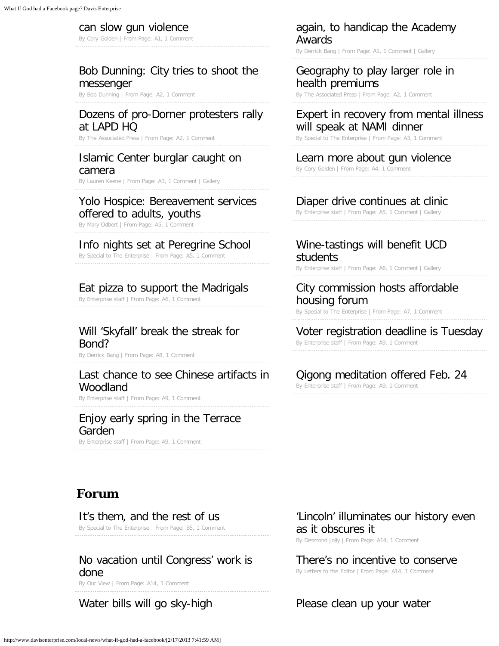#### [can slow gun violence](http://www.davisenterprise.com/local-news/ucd/ucd-expert-new-federal-state-laws-can-slow-gun-violence/)

By Cory Golden | From Page: A[1, 1 Comment](http://www.davisenterprise.com/local-news/ucd/ucd-expert-new-federal-state-laws-can-slow-gun-violence/#comments)

### [Bob Dunning: City tries to shoot the](http://www.davisenterprise.com/local-news/dunning/bob-dunning-city-tries-to-shoot-the-messenger/) [messenger](http://www.davisenterprise.com/local-news/dunning/bob-dunning-city-tries-to-shoot-the-messenger/)

By Bob Dunning | From Page: A2[, 1 Comment](http://www.davisenterprise.com/local-news/dunning/bob-dunning-city-tries-to-shoot-the-messenger/#comments)

# [Dozens of pro-Dorner protesters rally](http://www.davisenterprise.com/local-news/associated-press/dozens-of-pro-dorner-protesters-rally-at-lapd-hq/) [at LAPD HQ](http://www.davisenterprise.com/local-news/associated-press/dozens-of-pro-dorner-protesters-rally-at-lapd-hq/)

By The Associated Press | From Page: A2[, 1 Comment](http://www.davisenterprise.com/local-news/associated-press/dozens-of-pro-dorner-protesters-rally-at-lapd-hq/#comments)

#### [Islamic Center burglar caught on](http://www.davisenterprise.com/local-news/crime-fire-courts/islamic-center-burglar-caught-on-camera/) [camera](http://www.davisenterprise.com/local-news/crime-fire-courts/islamic-center-burglar-caught-on-camera/)

By Lauren Keene | From Page: A3[, 1 Comment](http://www.davisenterprise.com/local-news/crime-fire-courts/islamic-center-burglar-caught-on-camera/#comments) | Gallery

# [Yolo Hospice: Bereavement services](http://www.davisenterprise.com/local-news/news-columns/yolo-hospice-bereavement-services-offered-to-adults-youths/)

[offered to adults, youths](http://www.davisenterprise.com/local-news/news-columns/yolo-hospice-bereavement-services-offered-to-adults-youths/)

By Mary Odbert | From Page: A5[, 1 Comment](http://www.davisenterprise.com/local-news/news-columns/yolo-hospice-bereavement-services-offered-to-adults-youths/#comments)

#### [Info nights set at Peregrine School](http://www.davisenterprise.com/local-news/briefly/info-nights-set-at-peregrine-school/)

By Special to The Enterprise | From Page: A5[, 1 Comment](http://www.davisenterprise.com/local-news/briefly/info-nights-set-at-peregrine-school/#comments)

#### [Eat pizza to support the Madrigals](http://www.davisenterprise.com/local-news/briefly/eat-pizza-to-support-the-madrigals/)

By Enterprise staff | From Page: A[6, 1 Comment](http://www.davisenterprise.com/local-news/briefly/eat-pizza-to-support-the-madrigals/#comments)

### [Will 'Skyfall' break the streak for](http://www.davisenterprise.com/local-news/will-skyfall-break-the-streak-for-bond/) [Bond?](http://www.davisenterprise.com/local-news/will-skyfall-break-the-streak-for-bond/)

By Derrick Bang | From Page: A8[, 1 Comment](http://www.davisenterprise.com/local-news/will-skyfall-break-the-streak-for-bond/#comments)

#### [Last chance to see Chinese artifacts in](http://www.davisenterprise.com/local-news/briefly/last-chance-to-see-chinese-artifacts-in-woodland/) [Woodland](http://www.davisenterprise.com/local-news/briefly/last-chance-to-see-chinese-artifacts-in-woodland/)

By Enterprise staff | From Page: A[9, 1 Comment](http://www.davisenterprise.com/local-news/briefly/last-chance-to-see-chinese-artifacts-in-woodland/#comments)

# [Enjoy early spring in the Terrace](http://www.davisenterprise.com/local-news/enjoy-early-spring-in-the-terrace-garden/) [Garden](http://www.davisenterprise.com/local-news/enjoy-early-spring-in-the-terrace-garden/)

By Enterprise staff | From Page: A[9, 1 Comment](http://www.davisenterprise.com/local-news/enjoy-early-spring-in-the-terrace-garden/#comments)

#### [again, to handicap the Academy](http://www.davisenterprise.com/local-news/sunday-best/going-for-the-gold-its-time-once-again-to-handicap-the-academy-awards/) [Awards](http://www.davisenterprise.com/local-news/sunday-best/going-for-the-gold-its-time-once-again-to-handicap-the-academy-awards/)

By Derrick Bang | From Page: A1[, 1 Comment](http://www.davisenterprise.com/local-news/sunday-best/going-for-the-gold-its-time-once-again-to-handicap-the-academy-awards/#comments) | Gallery

#### [Geography to play larger role in](http://www.davisenterprise.com/local-news/associated-press/geography-to-play-larger-role-in-health-premiums/) [health premiums](http://www.davisenterprise.com/local-news/associated-press/geography-to-play-larger-role-in-health-premiums/)

By The Associated Press | From Page: A2[, 1 Comment](http://www.davisenterprise.com/local-news/associated-press/geography-to-play-larger-role-in-health-premiums/#comments)

#### [Expert in recovery from mental illness](http://www.davisenterprise.com/local-news/expert-in-recovery-from-mental-illness-will-speak-at-nami-dinner/) [will speak at NAMI dinner](http://www.davisenterprise.com/local-news/expert-in-recovery-from-mental-illness-will-speak-at-nami-dinner/)

By Special to The Enterprise | From Page: A[3, 1 Comment](http://www.davisenterprise.com/local-news/expert-in-recovery-from-mental-illness-will-speak-at-nami-dinner/#comments)

#### [Learn more about gun violence](http://www.davisenterprise.com/local-news/learn-more-about-gun-violence/)

By Cory Golden | From Page: A4[, 1 Comment](http://www.davisenterprise.com/local-news/learn-more-about-gun-violence/#comments)

#### [Diaper drive continues at clinic](http://www.davisenterprise.com/local-news/diaper-drive-continues-at-clinic/)

By Enterprise staff | From Page: A[5, 1 Comment](http://www.davisenterprise.com/local-news/diaper-drive-continues-at-clinic/#comments) | Gallery

# [Wine-tastings will benefit UCD](http://www.davisenterprise.com/local-news/wine-tasting-benefits-ucd-students/) [students](http://www.davisenterprise.com/local-news/wine-tasting-benefits-ucd-students/)

By Enterprise staff | From Page: A[6, 1 Comment](http://www.davisenterprise.com/local-news/wine-tasting-benefits-ucd-students/#comments) | Gallery

#### [City commission hosts affordable](http://www.davisenterprise.com/local-news/city/city-commission-hosts-affordable-housing-forum/) [housing forum](http://www.davisenterprise.com/local-news/city/city-commission-hosts-affordable-housing-forum/)

By Special to The Enterprise | From Page: A[7, 1 Comment](http://www.davisenterprise.com/local-news/city/city-commission-hosts-affordable-housing-forum/#comments)

#### [Voter registration deadline is Tuesday](http://www.davisenterprise.com/local-news/briefly/voter-registration-deadline-is-tuesday/)

By Enterprise staff | From Page: A[9, 1 Comment](http://www.davisenterprise.com/local-news/briefly/voter-registration-deadline-is-tuesday/#comments)

#### [Qigong meditation offered Feb. 24](http://www.davisenterprise.com/local-news/briefly/qigong-meditation-offered-feb-24/)

By Enterprise staff | From Page: A[9, 1 Comment](http://www.davisenterprise.com/local-news/briefly/qigong-meditation-offered-feb-24/#comments)

# **Forum**

#### [It's them, and the rest of us](http://www.davisenterprise.com/forum/opinion-columns/its-them-and-the-rest-of-us/)

By Special to The Enterprise | From Page: B5[, 1 Comment](http://www.davisenterprise.com/forum/opinion-columns/its-them-and-the-rest-of-us/#comments)

# [No vacation until Congress' work is](http://www.davisenterprise.com/forum/our-view/no-vacation-until-congress-work-is-done/) [done](http://www.davisenterprise.com/forum/our-view/no-vacation-until-congress-work-is-done/)

By Our View | From Page: A14[, 1 Comment](http://www.davisenterprise.com/forum/our-view/no-vacation-until-congress-work-is-done/#comments)

### ['Lincoln' illuminates our history even](http://www.davisenterprise.com/forum/opinion-columns/lincoln-illuminates-our-history-even-as-it-obscures-it/) [as it obscures it](http://www.davisenterprise.com/forum/opinion-columns/lincoln-illuminates-our-history-even-as-it-obscures-it/)

By Desmond Jolly | From Page: A14[, 1 Comment](http://www.davisenterprise.com/forum/opinion-columns/lincoln-illuminates-our-history-even-as-it-obscures-it/#comments)

#### [There's no incentive to conserve](http://www.davisenterprise.com/forum/letters/theres-no-incentive-to-conserve/)

By Letters to the Editor | From Page: A1[4, 1 Comment](http://www.davisenterprise.com/forum/letters/theres-no-incentive-to-conserve/#comments)

#### [Water bills will go sky-high](http://www.davisenterprise.com/forum/letters/water-bills-will-go-sky-high/) example are prease clean up your water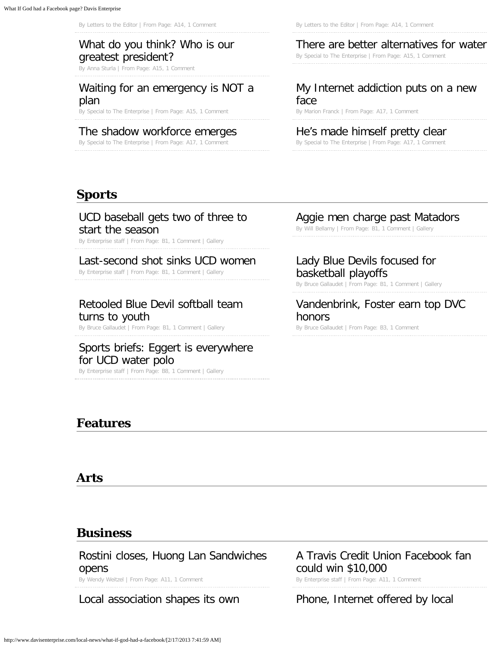# [What do you think? Who is our](http://www.davisenterprise.com/forum/what-do-you-think-who-is-our-greatest-president-and-why/) [greatest president?](http://www.davisenterprise.com/forum/what-do-you-think-who-is-our-greatest-president-and-why/)

By Anna Sturla | From Page: A15[, 1 Comment](http://www.davisenterprise.com/forum/what-do-you-think-who-is-our-greatest-president-and-why/#comments)

# [Waiting for an emergency is NOT a](http://www.davisenterprise.com/forum/opinion-columns/waiting-for-an-emergency-is-not-a-plan/) [plan](http://www.davisenterprise.com/forum/opinion-columns/waiting-for-an-emergency-is-not-a-plan/)

By Special to The Enterprise | From Page: A1[5, 1 Comment](http://www.davisenterprise.com/forum/opinion-columns/waiting-for-an-emergency-is-not-a-plan/#comments)

# [The shadow workforce emerges](http://www.davisenterprise.com/forum/opinion-columns/the-shadow-workforce-emerges/)

By Special to The Enterprise | From Page: A1[7, 1 Comment](http://www.davisenterprise.com/forum/opinion-columns/the-shadow-workforce-emerges/#comments)

By Letters to the Editor | From Page: A14[, 1 Comment](http://www.davisenterprise.com/forum/letters/water-bills-will-go-sky-high/#comments) By Letters to the Editor | From Page: A1[4, 1 Comment](http://www.davisenterprise.com/forum/letters/please-clean-up-your-water/#comments)

# [There are better alternatives for water](http://www.davisenterprise.com/forum/opinion-columns/there-are-better-alternatives-for-water/)

By Special to The Enterprise | From Page: A15[, 1 Comment](http://www.davisenterprise.com/forum/opinion-columns/there-are-better-alternatives-for-water/#comments)

#### [My Internet addiction puts on a new](http://www.davisenterprise.com/forum/opinion-columns/my-internet-addiction-puts-on-a-new-face/) [face](http://www.davisenterprise.com/forum/opinion-columns/my-internet-addiction-puts-on-a-new-face/)

By Marion Franck | From Page: A17[, 1 Comment](http://www.davisenterprise.com/forum/opinion-columns/my-internet-addiction-puts-on-a-new-face/#comments)

#### [He's made himself pretty clear](http://www.davisenterprise.com/forum/opinion-columns/hes-made-himself-pretty-clear/)

By Special to The Enterprise | From Page: A17[, 1 Comment](http://www.davisenterprise.com/forum/opinion-columns/hes-made-himself-pretty-clear/#comments)

# **Sports**

#### [UCD baseball gets two of three to](http://www.davisenterprise.com/sports/ucd-baseball-gets-two-of-three-to-start-the-season/) [start the season](http://www.davisenterprise.com/sports/ucd-baseball-gets-two-of-three-to-start-the-season/)

By Enterprise staff | From Page: B[1, 1 Comment](http://www.davisenterprise.com/sports/ucd-baseball-gets-two-of-three-to-start-the-season/#comments) | Gallery

#### [Last-second shot sinks UCD women](http://www.davisenterprise.com/sports/last-second-shot-sinks-ucd-women/)

By Enterprise staff | From Page: B[1, 1 Comment](http://www.davisenterprise.com/sports/last-second-shot-sinks-ucd-women/#comments) | Gallery

# [Retooled Blue Devil softball team](http://www.davisenterprise.com/sports/retooled-blue-devil-softball-team-turns-to-youth/) [turns to youth](http://www.davisenterprise.com/sports/retooled-blue-devil-softball-team-turns-to-youth/)

By Bruce Gallaudet | From Page: B1[, 1 Comment](http://www.davisenterprise.com/sports/retooled-blue-devil-softball-team-turns-to-youth/#comments) | Gallery

#### [Sports briefs: Eggert is everywhere](http://www.davisenterprise.com/sports/sports-briefs-eggert-is-everywhere-for-ucd-water-polo/) [for UCD water polo](http://www.davisenterprise.com/sports/sports-briefs-eggert-is-everywhere-for-ucd-water-polo/)

By Enterprise staff | From Page: B[8, 1 Comment](http://www.davisenterprise.com/sports/sports-briefs-eggert-is-everywhere-for-ucd-water-polo/#comments) | Gallery

# **Features**

#### **Arts**

# **Business**

[Rostini closes, Huong Lan Sandwiches](http://www.davisenterprise.com/business/comings-and-goings/rostini-closes-huong-lan-sandwiches-opens/) [opens](http://www.davisenterprise.com/business/comings-and-goings/rostini-closes-huong-lan-sandwiches-opens/)

By Wendy Weitzel | From Page: A11[, 1 Comment](http://www.davisenterprise.com/business/comings-and-goings/rostini-closes-huong-lan-sandwiches-opens/#comments)

[Local association shapes its own](http://www.davisenterprise.com/business/local-association-shapes-its-own-business-model/) **[Phone, Internet offered by local](http://www.davisenterprise.com/business/phone-internet-offered-by-local-provider/)** 

# [Aggie men charge past Matadors](http://www.davisenterprise.com/sports/aggie-men-charge-past-matadors/)

By Will Bellamy | From Page: B1[, 1 Comment](http://www.davisenterprise.com/sports/aggie-men-charge-past-matadors/#comments) | Gallery

# [Lady Blue Devils focused for](http://www.davisenterprise.com/sports/lady-blue-devils-focused-for-basketball-playoffs/) [basketball playoffs](http://www.davisenterprise.com/sports/lady-blue-devils-focused-for-basketball-playoffs/)

By Bruce Gallaudet | From Page: B[1, 1 Comment](http://www.davisenterprise.com/sports/lady-blue-devils-focused-for-basketball-playoffs/#comments) | Gallery

#### [Vandenbrink, Foster earn top DVC](http://www.davisenterprise.com/sports/vandenbrink-foster-earn-top-dvc-honors/) [honors](http://www.davisenterprise.com/sports/vandenbrink-foster-earn-top-dvc-honors/)

By Bruce Gallaudet | From Page: B[3, 1 Comment](http://www.davisenterprise.com/sports/vandenbrink-foster-earn-top-dvc-honors/#comments)

[A Travis Credit Union Facebook fan](http://www.davisenterprise.com/business/a-travis-credit-union-facebook-fan-could-win-10000/) [could win \\$10,000](http://www.davisenterprise.com/business/a-travis-credit-union-facebook-fan-could-win-10000/) By Enterprise staff | From Page: A11[, 1 Comment](http://www.davisenterprise.com/business/a-travis-credit-union-facebook-fan-could-win-10000/#comments)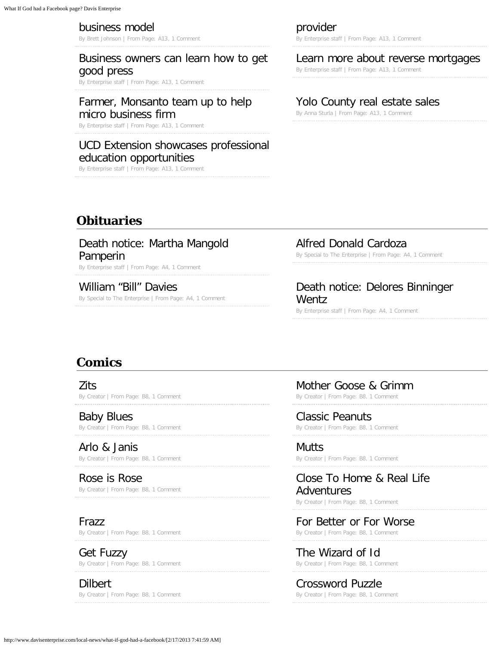#### [business model](http://www.davisenterprise.com/business/local-association-shapes-its-own-business-model/)

By Brett Johnson | From Page: A13[, 1 Comment](http://www.davisenterprise.com/business/local-association-shapes-its-own-business-model/#comments)

# [Business owners can learn how to get](http://www.davisenterprise.com/business/business-owners-can-learn-how-to-get-good-press/) [good press](http://www.davisenterprise.com/business/business-owners-can-learn-how-to-get-good-press/)

By Enterprise staff | From Page: A1[3, 1 Comment](http://www.davisenterprise.com/business/business-owners-can-learn-how-to-get-good-press/#comments)

#### [Farmer, Monsanto team up to help](http://www.davisenterprise.com/business/farmer-monsanto-team-up-to-help-micro-business-firm/) [micro business firm](http://www.davisenterprise.com/business/farmer-monsanto-team-up-to-help-micro-business-firm/)

By Enterprise staff | From Page: A1[3, 1 Comment](http://www.davisenterprise.com/business/farmer-monsanto-team-up-to-help-micro-business-firm/#comments)

#### [UCD Extension showcases professional](http://www.davisenterprise.com/business/ucd-extension-showcases-professional-education-opportunities/) [education opportunities](http://www.davisenterprise.com/business/ucd-extension-showcases-professional-education-opportunities/)

By Enterprise staff | From Page: A1[3, 1 Comment](http://www.davisenterprise.com/business/ucd-extension-showcases-professional-education-opportunities/#comments)

[provider](http://www.davisenterprise.com/business/phone-internet-offered-by-local-provider/)

By Enterprise staff | From Page: A13[, 1 Comment](http://www.davisenterprise.com/business/phone-internet-offered-by-local-provider/#comments)

#### [Learn more about reverse mortgages](http://www.davisenterprise.com/business/learn-more-about-reverse-mortgages-3/)

By Enterprise staff | From Page: A13[, 1 Comment](http://www.davisenterprise.com/business/learn-more-about-reverse-mortgages-3/#comments)

#### [Yolo County real estate sales](http://www.davisenterprise.com/business/real-estate-217/)

By Anna Sturla | From Page: A13[, 1 Comment](http://www.davisenterprise.com/business/real-estate-217/#comments)

# **Obituaries**

[Death notice: Martha Mangold](http://www.davisenterprise.com/obits/death-notice-martha-mangold-pamperin/) [Pamperin](http://www.davisenterprise.com/obits/death-notice-martha-mangold-pamperin/)

By Enterprise staff | From Page: A[4, 1 Comment](http://www.davisenterprise.com/obits/death-notice-martha-mangold-pamperin/#comments)

[William "Bill" Davies](http://www.davisenterprise.com/obits/william-bill-davies/)

By Special to The Enterprise | From Page: A4[, 1 Comment](http://www.davisenterprise.com/obits/william-bill-davies/#comments)

#### [Alfred Donald Cardoza](http://www.davisenterprise.com/obits/alfred-donald-cardoza/)

By Special to The Enterprise | From Page: A[4, 1 Comment](http://www.davisenterprise.com/obits/alfred-donald-cardoza/#comments)

# [Death notice: Delores Binninger](http://www.davisenterprise.com/obits/death-notice-delores-binninger-wentz/) [Wentz](http://www.davisenterprise.com/obits/death-notice-delores-binninger-wentz/)

By Enterprise staff | From Page: A[4, 1 Comment](http://www.davisenterprise.com/obits/death-notice-delores-binninger-wentz/#comments)

# **Comics**

[Zits](http://www.davisenterprise.com/comics/zits-190/) By Creator | From Page: B8[, 1 Comment](http://www.davisenterprise.com/comics/zits-190/#comments)

[Baby Blues](http://www.davisenterprise.com/comics/baby-blues-185/) By Creator | From Page: B8[, 1 Comment](http://www.davisenterprise.com/comics/baby-blues-185/#comments)

[Arlo & Janis](http://www.davisenterprise.com/comics/arlo-janis-185/) By Creator | From Page: B8[, 1 Comment](http://www.davisenterprise.com/comics/arlo-janis-185/#comments)

[Rose is Rose](http://www.davisenterprise.com/comics/rose-is-rose-186/) By Creator | From Page: B8[, 1 Comment](http://www.davisenterprise.com/comics/rose-is-rose-186/#comments)

# [Frazz](http://www.davisenterprise.com/comics/frazz-187/)

By Creator | From Page: B8[, 1 Comment](http://www.davisenterprise.com/comics/frazz-187/#comments)

[Get Fuzzy](http://www.davisenterprise.com/comics/get-fuzzy-185/) By Creator | From Page: B8[, 1 Comment](http://www.davisenterprise.com/comics/get-fuzzy-185/#comments)

[Dilbert](http://www.davisenterprise.com/comics/dilbert-185/) By Creator | From Page: B8[, 1 Comment](http://www.davisenterprise.com/comics/dilbert-185/#comments) [Mother Goose & Grimm](http://www.davisenterprise.com/comics/mother-goose-grimm-183/)

By Creator | From Page: B8[, 1 Comment](http://www.davisenterprise.com/comics/mother-goose-grimm-183/#comments)

[Classic Peanuts](http://www.davisenterprise.com/comics/classic-peanuts-184/) By Creator | From Page: B8[, 1 Comment](http://www.davisenterprise.com/comics/classic-peanuts-184/#comments)

[Mutts](http://www.davisenterprise.com/comics/mutts-186/) By Creator | From Page: B8[, 1 Comment](http://www.davisenterprise.com/comics/mutts-186/#comments)

# [Close To Home & Real Life](http://www.davisenterprise.com/comics/close-to-home-real-life-adventures-177/) [Adventures](http://www.davisenterprise.com/comics/close-to-home-real-life-adventures-177/)

By Creator | From Page: B8[, 1 Comment](http://www.davisenterprise.com/comics/close-to-home-real-life-adventures-177/#comments)

[For Better or For Worse](http://www.davisenterprise.com/comics/for-better-or-for-worse-181/) By Creator | From Page: B8[, 1 Comment](http://www.davisenterprise.com/comics/for-better-or-for-worse-181/#comments)

[The Wizard of Id](http://www.davisenterprise.com/comics/the-wizard-of-id-186/) By Creator | From Page: B8[, 1 Comment](http://www.davisenterprise.com/comics/the-wizard-of-id-186/#comments)

[Crossword Puzzle](http://www.davisenterprise.com/comics/crossword-puzzle-172/) By Creator | From Page: B8[, 1 Comment](http://www.davisenterprise.com/comics/crossword-puzzle-172/#comments)